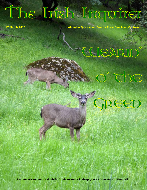# The Insh Inquirer

**17 March 2015 Almaden Quicksilver County Park, San Jose, California**

### UEARID

GREED

o' che

**Two American deer of doubtful Irish ancestry in deep grass at the start of the trail.**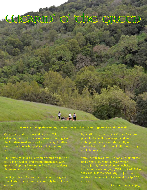### The Green WEARIN, O,



h. Aá

On the eve of the greenest day of the Celtic calendar, I took a hike yesterday over the ridges of the McAbee Road section of Almaden Quicksilver County Park, which is just six miles from my house.

The gray sky looked like winter, which for the next few days it will be, and the mountainsides were green and spring-like (for an East Coast resident) – the season soon to come.

Yet if you live in California, you know this grass is soon to die because winter is our only time of rain and snow.

By April's end, the realistic chance for more precipitation will have evaporated and nothing but meteors and (hopefully not) embers from forest fires will fall from the sky until Halloween.

Since I wrote my Nov. 30 newsletter about the first drops of our rainfall year, which begins July 1, (archived on my website at [http://media.wix.com/ugd/7854ef\\_b94e715b3c6](http://media.wix.com/ugd/7854ef_b94e715b3c674138880c742367e833fd.pdf) [74138880c742367e833fd.pdf\)](http://media.wix.com/ugd/7854ef_b94e715b3c674138880c742367e833fd.pdf) San Jose has received 104 percent of its normal precip: 13.6 **inches**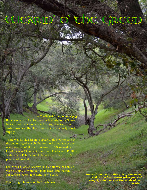#### <sup>\*</sup> The Green WEARID

*– Continued from previous page*

But elsewhere in California – particularly in the Sierra Nevada, whose snowpack is the largest reservoir of surface water in the state – water is in perilously short supply.

There was no ski season to speak of this winter, and at the beginning of March, the composite average of the water content of Sierra snow from all 109 reporting locations was 19 percent of normal. The lowest, Phillips Station near Echo Summit above Lake Tahoe, was 5 percent of normal.

Last week a NASA scientist said California has only a year's supply of water left in its lakes, and that the subsurface water table continues to sink.

Our drought is entering its fourth year.

**Some of the oaks in this gulch, weakened and brittle from consecutive years of drought, didn't survive the winds of last winter.**